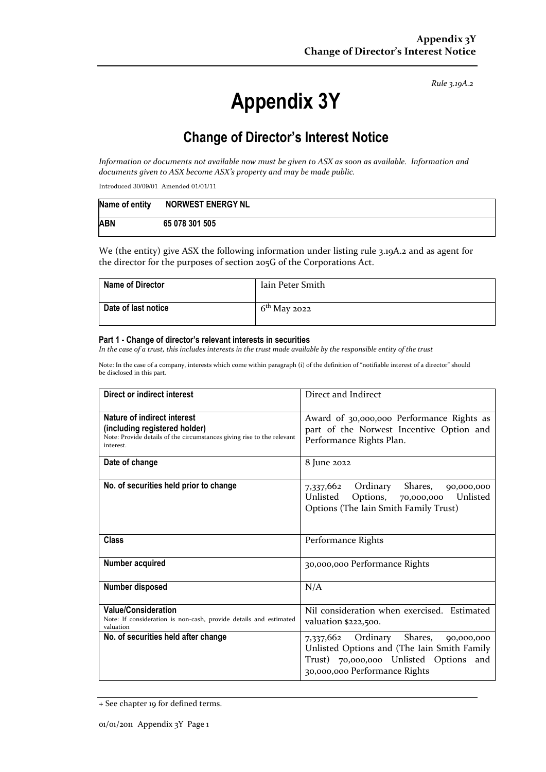*Rule 3.19A.2*

# **Appendix 3Y**

# **Change of Director's Interest Notice**

*Information or documents not available now must be given to ASX as soon as available. Information and documents given to ASX become ASX's property and may be made public.*

Introduced 30/09/01 Amended 01/01/11

| Name of entity | <b>NORWEST ENERGY NL</b> |
|----------------|--------------------------|
| <b>ABN</b>     | 65 078 301 505           |

We (the entity) give ASX the following information under listing rule 3.19A.2 and as agent for the director for the purposes of section 205G of the Corporations Act.

| <b>Name of Director</b> | Iain Peter Smith |
|-------------------------|------------------|
| Date of last notice     | $6th$ May 2022   |

#### **Part 1 - Change of director's relevant interests in securities**

*In the case of a trust, this includes interests in the trust made available by the responsible entity of the trust*

Note: In the case of a company, interests which come within paragraph (i) of the definition of "notifiable interest of a director" should be disclosed in this part.

| Direct or indirect interest                                                                                                                         | Direct and Indirect                                                                                                                                                      |  |
|-----------------------------------------------------------------------------------------------------------------------------------------------------|--------------------------------------------------------------------------------------------------------------------------------------------------------------------------|--|
| Nature of indirect interest<br>(including registered holder)<br>Note: Provide details of the circumstances giving rise to the relevant<br>interest. | Award of 30,000,000 Performance Rights as<br>part of the Norwest Incentive Option and<br>Performance Rights Plan.                                                        |  |
| Date of change                                                                                                                                      | 8 June 2022                                                                                                                                                              |  |
| No. of securities held prior to change                                                                                                              | Ordinary<br>Shares,<br>7,337,662<br>90,000,000<br>Unlisted<br>Unlisted<br>Options,<br>70,000,000<br>Options (The Iain Smith Family Trust)                                |  |
| Class                                                                                                                                               | Performance Rights                                                                                                                                                       |  |
| Number acquired                                                                                                                                     | 30,000,000 Performance Rights                                                                                                                                            |  |
| Number disposed                                                                                                                                     | N/A                                                                                                                                                                      |  |
| <b>Value/Consideration</b><br>Note: If consideration is non-cash, provide details and estimated<br>valuation                                        | Nil consideration when exercised. Estimated<br>valuation \$222,500.                                                                                                      |  |
| No. of securities held after change                                                                                                                 | Ordinary<br>Shares,<br>7,337,662<br>90,000,000<br>Unlisted Options and (The Iain Smith Family<br>Trust) 70,000,000 Unlisted Options and<br>30,000,000 Performance Rights |  |

<sup>+</sup> See chapter 19 for defined terms.